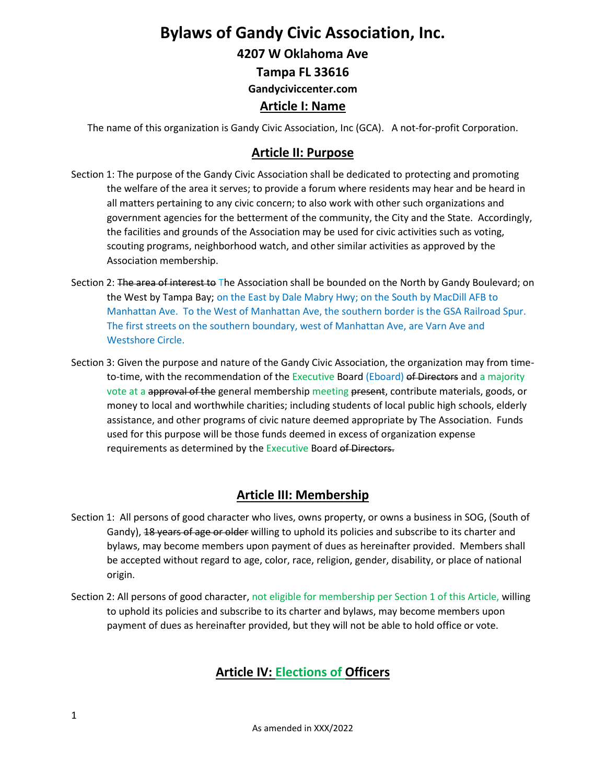# **Bylaws of Gandy Civic Association, Inc.**

**4207 W Oklahoma Ave**

**Tampa FL 33616**

**Gandyciviccenter.com**

# **Article I: Name**

The name of this organization is Gandy Civic Association, Inc (GCA). A not-for-profit Corporation.

## **Article II: Purpose**

- Section 1: The purpose of the Gandy Civic Association shall be dedicated to protecting and promoting the welfare of the area it serves; to provide a forum where residents may hear and be heard in all matters pertaining to any civic concern; to also work with other such organizations and government agencies for the betterment of the community, the City and the State. Accordingly, the facilities and grounds of the Association may be used for civic activities such as voting, scouting programs, neighborhood watch, and other similar activities as approved by the Association membership.
- Section 2: The area of interest to The Association shall be bounded on the North by Gandy Boulevard; on the West by Tampa Bay; on the East by Dale Mabry Hwy; on the South by MacDill AFB to Manhattan Ave. To the West of Manhattan Ave, the southern border is the GSA Railroad Spur. The first streets on the southern boundary, west of Manhattan Ave, are Varn Ave and Westshore Circle.
- Section 3: Given the purpose and nature of the Gandy Civic Association, the organization may from timeto-time, with the recommendation of the Executive Board (Eboard) of Directors and a majority vote at a approval of the general membership meeting present, contribute materials, goods, or money to local and worthwhile charities; including students of local public high schools, elderly assistance, and other programs of civic nature deemed appropriate by The Association. Funds used for this purpose will be those funds deemed in excess of organization expense requirements as determined by the Executive Board of Directors.

# **Article III: Membership**

- Section 1: All persons of good character who lives, owns property, or owns a business in SOG, (South of Gandy), 18 years of age or older willing to uphold its policies and subscribe to its charter and bylaws, may become members upon payment of dues as hereinafter provided. Members shall be accepted without regard to age, color, race, religion, gender, disability, or place of national origin.
- Section 2: All persons of good character, not eligible for membership per Section 1 of this Article, willing to uphold its policies and subscribe to its charter and bylaws, may become members upon payment of dues as hereinafter provided, but they will not be able to hold office or vote.

# **Article IV: Elections of Officers**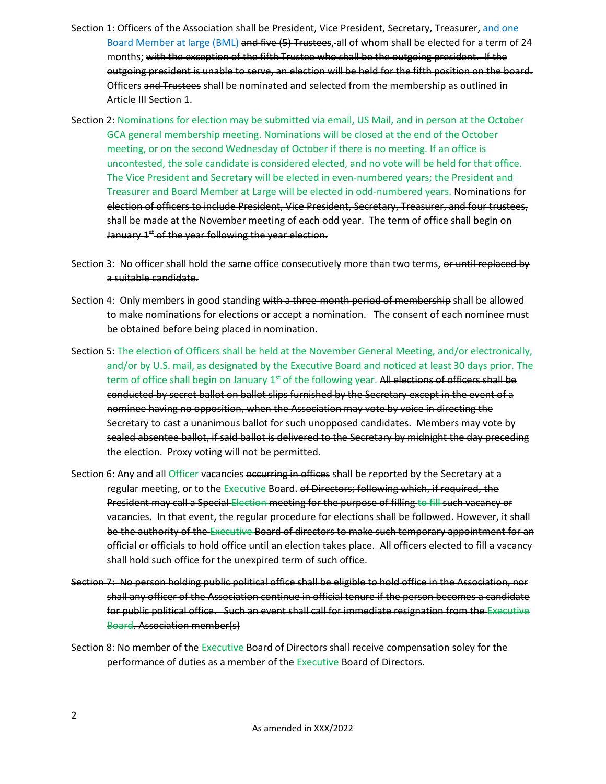- Section 1: Officers of the Association shall be President, Vice President, Secretary, Treasurer, and one Board Member at large (BML) and five (5) Trustees, all of whom shall be elected for a term of 24 months; with the exception of the fifth Trustee who shall be the outgoing president. If the outgoing president is unable to serve, an election will be held for the fifth position on the board. Officers and Trustees shall be nominated and selected from the membership as outlined in Article III Section 1.
- Section 2: Nominations for election may be submitted via email, US Mail, and in person at the October GCA general membership meeting. Nominations will be closed at the end of the October meeting, or on the second Wednesday of October if there is no meeting. If an office is uncontested, the sole candidate is considered elected, and no vote will be held for that office. The Vice President and Secretary will be elected in even-numbered years; the President and Treasurer and Board Member at Large will be elected in odd-numbered years. Nominations for election of officers to include President, Vice President, Secretary, Treasurer, and four trustees, shall be made at the November meeting of each odd year. The term of office shall begin on January 1<sup>st</sup> of the year following the year election.
- Section 3: No officer shall hold the same office consecutively more than two terms, or until replaced by a suitable candidate.
- Section 4: Only members in good standing with a three-month period of membership shall be allowed to make nominations for elections or accept a nomination. The consent of each nominee must be obtained before being placed in nomination.
- Section 5: The election of Officers shall be held at the November General Meeting, and/or electronically, and/or by U.S. mail, as designated by the Executive Board and noticed at least 30 days prior. The term of office shall begin on January 1<sup>st</sup> of the following year. All elections of officers shall be conducted by secret ballot on ballot slips furnished by the Secretary except in the event of a nominee having no opposition, when the Association may vote by voice in directing the Secretary to cast a unanimous ballot for such unopposed candidates. Members may vote by sealed absentee ballot, if said ballot is delivered to the Secretary by midnight the day preceding the election. Proxy voting will not be permitted.
- Section 6: Any and all Officer vacancies occurring in offices shall be reported by the Secretary at a regular meeting, or to the Executive Board. of Directors; following which, if required, the President may call a Special Election meeting for the purpose of filling to fill such vacancy or vacancies. In that event, the regular procedure for elections shall be followed. However, it shall be the authority of the Executive Board of directors to make such temporary appointment for an official or officials to hold office until an election takes place. All officers elected to fill a vacancy shall hold such office for the unexpired term of such office.
- Section 7: No person holding public political office shall be eligible to hold office in the Association, nor shall any officer of the Association continue in official tenure if the person becomes a candidate for public political office. Such an event shall call for immediate resignation from the Executive Board. Association member(s)
- Section 8: No member of the Executive Board of Directors shall receive compensation soley for the performance of duties as a member of the Executive Board of Directors.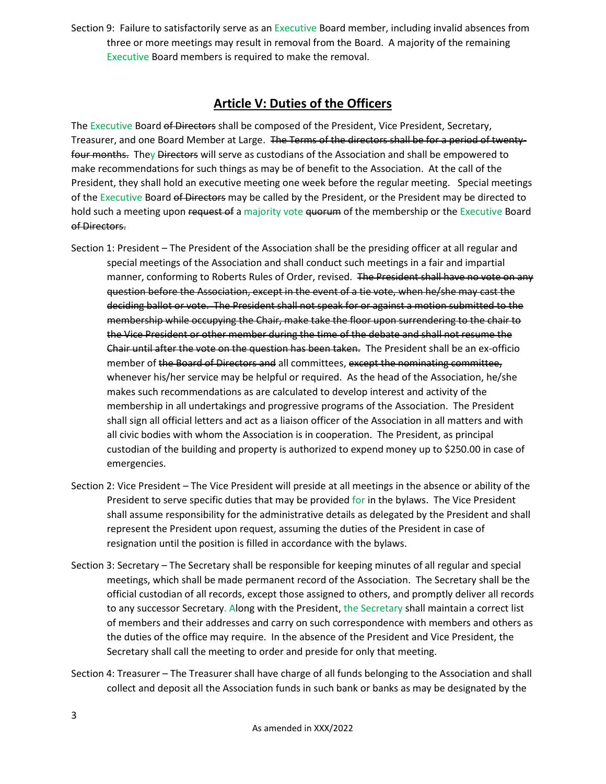Section 9: Failure to satisfactorily serve as an Executive Board member, including invalid absences from three or more meetings may result in removal from the Board. A majority of the remaining Executive Board members is required to make the removal.

#### **Article V: Duties of the Officers**

The Executive Board of Directors shall be composed of the President, Vice President, Secretary, Treasurer, and one Board Member at Large. The Terms of the directors shall be for a period of twentyfour months. They Directors will serve as custodians of the Association and shall be empowered to make recommendations for such things as may be of benefit to the Association. At the call of the President, they shall hold an executive meeting one week before the regular meeting. Special meetings of the Executive Board of Directors may be called by the President, or the President may be directed to hold such a meeting upon request of a majority vote quorum of the membership or the Executive Board of Directors.

- Section 1: President The President of the Association shall be the presiding officer at all regular and special meetings of the Association and shall conduct such meetings in a fair and impartial manner, conforming to Roberts Rules of Order, revised. The President shall have no vote on any question before the Association, except in the event of a tie vote, when he/she may cast the deciding ballot or vote. The President shall not speak for or against a motion submitted to the membership while occupying the Chair, make take the floor upon surrendering to the chair to the Vice President or other member during the time of the debate and shall not resume the Chair until after the vote on the question has been taken. The President shall be an ex-officio member of the Board of Directors and all committees, except the nominating committee, whenever his/her service may be helpful or required. As the head of the Association, he/she makes such recommendations as are calculated to develop interest and activity of the membership in all undertakings and progressive programs of the Association. The President shall sign all official letters and act as a liaison officer of the Association in all matters and with all civic bodies with whom the Association is in cooperation. The President, as principal custodian of the building and property is authorized to expend money up to \$250.00 in case of emergencies.
- Section 2: Vice President The Vice President will preside at all meetings in the absence or ability of the President to serve specific duties that may be provided for in the bylaws. The Vice President shall assume responsibility for the administrative details as delegated by the President and shall represent the President upon request, assuming the duties of the President in case of resignation until the position is filled in accordance with the bylaws.
- Section 3: Secretary The Secretary shall be responsible for keeping minutes of all regular and special meetings, which shall be made permanent record of the Association. The Secretary shall be the official custodian of all records, except those assigned to others, and promptly deliver all records to any successor Secretary. Along with the President, the Secretary shall maintain a correct list of members and their addresses and carry on such correspondence with members and others as the duties of the office may require. In the absence of the President and Vice President, the Secretary shall call the meeting to order and preside for only that meeting.
- Section 4: Treasurer The Treasurer shall have charge of all funds belonging to the Association and shall collect and deposit all the Association funds in such bank or banks as may be designated by the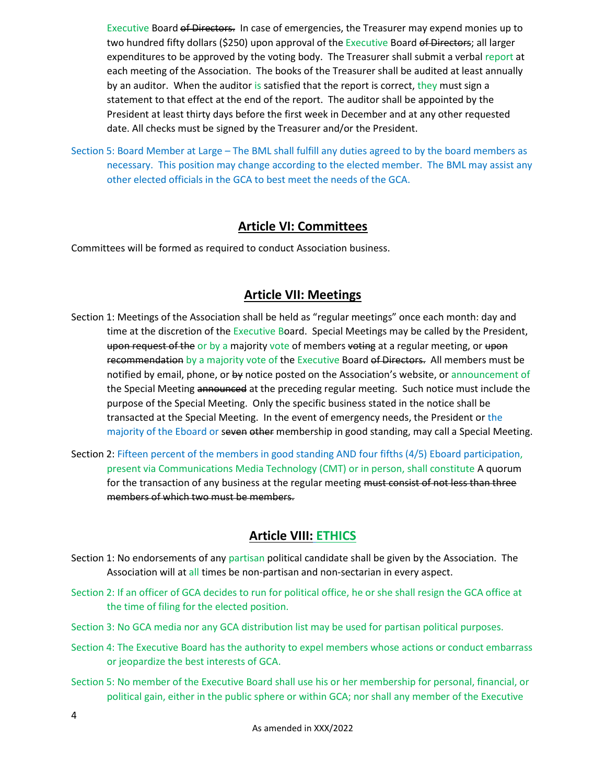Executive Board of Directors. In case of emergencies, the Treasurer may expend monies up to two hundred fifty dollars (\$250) upon approval of the Executive Board of Directors; all larger expenditures to be approved by the voting body. The Treasurer shall submit a verbal report at each meeting of the Association. The books of the Treasurer shall be audited at least annually by an auditor. When the auditor is satisfied that the report is correct, they must sign a statement to that effect at the end of the report. The auditor shall be appointed by the President at least thirty days before the first week in December and at any other requested date. All checks must be signed by the Treasurer and/or the President.

Section 5: Board Member at Large – The BML shall fulfill any duties agreed to by the board members as necessary. This position may change according to the elected member. The BML may assist any other elected officials in the GCA to best meet the needs of the GCA.

#### **Article VI: Committees**

Committees will be formed as required to conduct Association business.

#### **Article VII: Meetings**

- Section 1: Meetings of the Association shall be held as "regular meetings" once each month: day and time at the discretion of the Executive Board. Special Meetings may be called by the President, upon request of the or by a majority vote of members voting at a regular meeting, or upon recommendation by a majority vote of the Executive Board of Directors. All members must be notified by email, phone, or by notice posted on the Association's website, or announcement of the Special Meeting announced at the preceding regular meeting. Such notice must include the purpose of the Special Meeting. Only the specific business stated in the notice shall be transacted at the Special Meeting. In the event of emergency needs, the President or the majority of the Eboard or seven other membership in good standing, may call a Special Meeting.
- Section 2: Fifteen percent of the members in good standing AND four fifths (4/5) Eboard participation, present via Communications Media Technology (CMT) or in person, shall constitute A quorum for the transaction of any business at the regular meeting must consist of not less than three members of which two must be members.

#### **Article VIII: ETHICS**

- Section 1: No endorsements of any partisan political candidate shall be given by the Association. The Association will at all times be non-partisan and non-sectarian in every aspect.
- Section 2: If an officer of GCA decides to run for political office, he or she shall resign the GCA office at the time of filing for the elected position.
- Section 3: No GCA media nor any GCA distribution list may be used for partisan political purposes.
- Section 4: The Executive Board has the authority to expel members whose actions or conduct embarrass or jeopardize the best interests of GCA.
- Section 5: No member of the Executive Board shall use his or her membership for personal, financial, or political gain, either in the public sphere or within GCA; nor shall any member of the Executive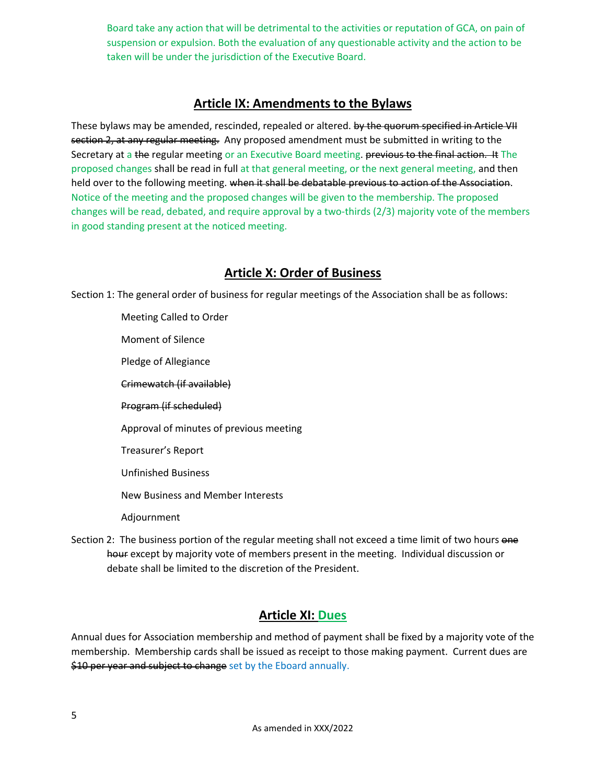Board take any action that will be detrimental to the activities or reputation of GCA, on pain of suspension or expulsion. Both the evaluation of any questionable activity and the action to be taken will be under the jurisdiction of the Executive Board.

#### **Article IX: Amendments to the Bylaws**

These bylaws may be amended, rescinded, repealed or altered. by the quorum specified in Article VII section 2, at any regular meeting. Any proposed amendment must be submitted in writing to the Secretary at a the regular meeting or an Executive Board meeting. previous to the final action. It The proposed changes shall be read in full at that general meeting, or the next general meeting, and then held over to the following meeting. when it shall be debatable previous to action of the Association. Notice of the meeting and the proposed changes will be given to the membership. The proposed changes will be read, debated, and require approval by a two-thirds (2/3) majority vote of the members in good standing present at the noticed meeting.

#### **Article X: Order of Business**

Section 1: The general order of business for regular meetings of the Association shall be as follows:

Meeting Called to Order Moment of Silence Pledge of Allegiance Crimewatch (if available) Program (if scheduled) Approval of minutes of previous meeting Treasurer's Report Unfinished Business New Business and Member Interests Adjournment

Section 2: The business portion of the regular meeting shall not exceed a time limit of two hours one hour except by majority vote of members present in the meeting. Individual discussion or debate shall be limited to the discretion of the President.

#### **Article XI: Dues**

Annual dues for Association membership and method of payment shall be fixed by a majority vote of the membership. Membership cards shall be issued as receipt to those making payment. Current dues are \$10 per year and subject to change set by the Eboard annually.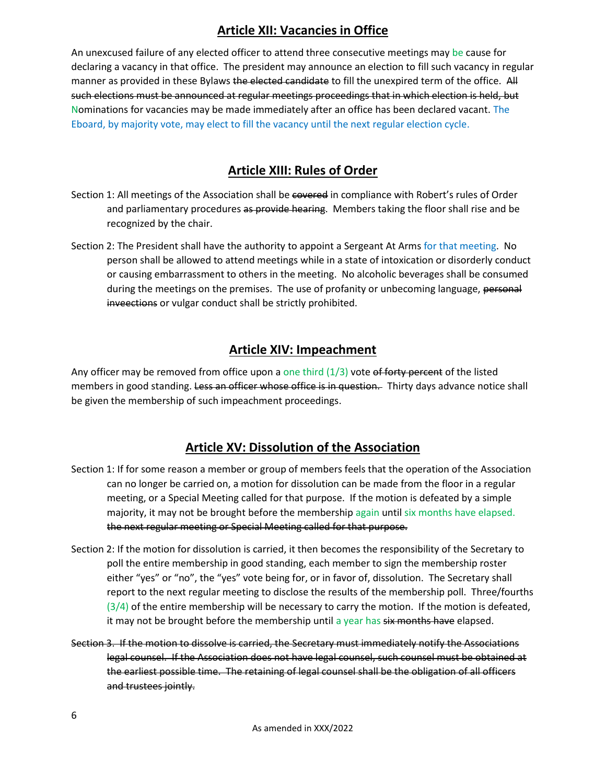# **Article XII: Vacancies in Office**

An unexcused failure of any elected officer to attend three consecutive meetings may be cause for declaring a vacancy in that office. The president may announce an election to fill such vacancy in regular manner as provided in these Bylaws the elected candidate to fill the unexpired term of the office. All such elections must be announced at regular meetings proceedings that in which election is held, but Nominations for vacancies may be made immediately after an office has been declared vacant. The Eboard, by majority vote, may elect to fill the vacancy until the next regular election cycle.

# **Article XIII: Rules of Order**

- Section 1: All meetings of the Association shall be covered in compliance with Robert's rules of Order and parliamentary procedures as provide hearing. Members taking the floor shall rise and be recognized by the chair.
- Section 2: The President shall have the authority to appoint a Sergeant At Arms for that meeting. No person shall be allowed to attend meetings while in a state of intoxication or disorderly conduct or causing embarrassment to others in the meeting. No alcoholic beverages shall be consumed during the meetings on the premises. The use of profanity or unbecoming language, personal inveections or vulgar conduct shall be strictly prohibited.

#### **Article XIV: Impeachment**

Any officer may be removed from office upon a one third  $(1/3)$  vote of forty percent of the listed members in good standing. Less an officer whose office is in question. Thirty days advance notice shall be given the membership of such impeachment proceedings.

# **Article XV: Dissolution of the Association**

- Section 1: If for some reason a member or group of members feels that the operation of the Association can no longer be carried on, a motion for dissolution can be made from the floor in a regular meeting, or a Special Meeting called for that purpose. If the motion is defeated by a simple majority, it may not be brought before the membership again until six months have elapsed. the next regular meeting or Special Meeting called for that purpose.
- Section 2: If the motion for dissolution is carried, it then becomes the responsibility of the Secretary to poll the entire membership in good standing, each member to sign the membership roster either "yes" or "no", the "yes" vote being for, or in favor of, dissolution. The Secretary shall report to the next regular meeting to disclose the results of the membership poll. Three/fourths  $(3/4)$  of the entire membership will be necessary to carry the motion. If the motion is defeated, it may not be brought before the membership until a year has six months have elapsed.
- Section 3. If the motion to dissolve is carried, the Secretary must immediately notify the Associations legal counsel. If the Association does not have legal counsel, such counsel must be obtained at the earliest possible time. The retaining of legal counsel shall be the obligation of all officers and trustees jointly.